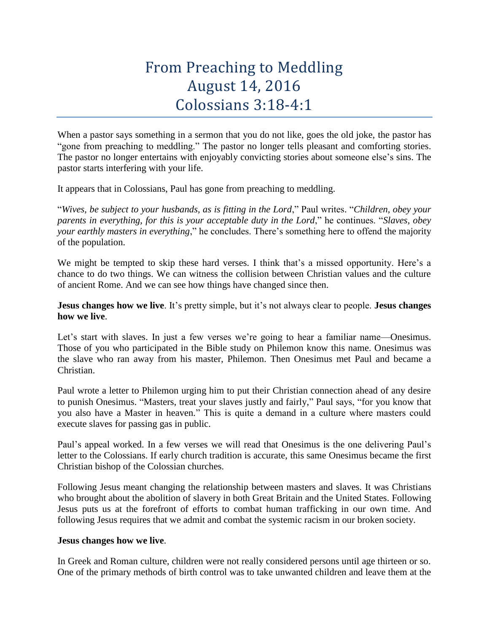## From Preaching to Meddling August 14, 2016 Colossians 3:18-4:1

When a pastor says something in a sermon that you do not like, goes the old joke, the pastor has "gone from preaching to meddling." The pastor no longer tells pleasant and comforting stories. The pastor no longer entertains with enjoyably convicting stories about someone else's sins. The pastor starts interfering with your life.

It appears that in Colossians, Paul has gone from preaching to meddling.

"*Wives, be subject to your husbands, as is fitting in the Lord*," Paul writes. "*Children, obey your parents in everything, for this is your acceptable duty in the Lord*," he continues. "*Slaves, obey your earthly masters in everything*," he concludes. There's something here to offend the majority of the population.

We might be tempted to skip these hard verses. I think that's a missed opportunity. Here's a chance to do two things. We can witness the collision between Christian values and the culture of ancient Rome. And we can see how things have changed since then.

**Jesus changes how we live**. It's pretty simple, but it's not always clear to people. **Jesus changes how we live**.

Let's start with slaves. In just a few verses we're going to hear a familiar name—Onesimus. Those of you who participated in the Bible study on Philemon know this name. Onesimus was the slave who ran away from his master, Philemon. Then Onesimus met Paul and became a Christian.

Paul wrote a letter to Philemon urging him to put their Christian connection ahead of any desire to punish Onesimus. "Masters, treat your slaves justly and fairly," Paul says, "for you know that you also have a Master in heaven." This is quite a demand in a culture where masters could execute slaves for passing gas in public.

Paul's appeal worked. In a few verses we will read that Onesimus is the one delivering Paul's letter to the Colossians. If early church tradition is accurate, this same Onesimus became the first Christian bishop of the Colossian churches.

Following Jesus meant changing the relationship between masters and slaves. It was Christians who brought about the abolition of slavery in both Great Britain and the United States. Following Jesus puts us at the forefront of efforts to combat human trafficking in our own time. And following Jesus requires that we admit and combat the systemic racism in our broken society.

## **Jesus changes how we live**.

In Greek and Roman culture, children were not really considered persons until age thirteen or so. One of the primary methods of birth control was to take unwanted children and leave them at the